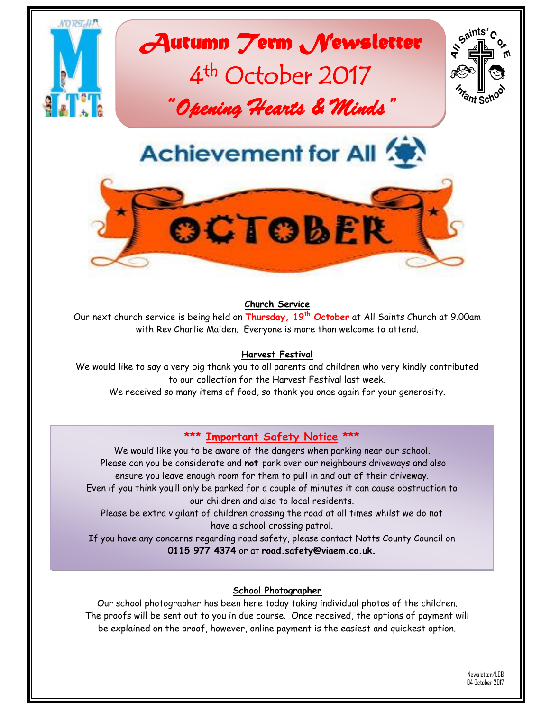

#### **Church Service**

Our next church service is being held on **Thursday, 19th October** at All Saints Church at 9.00am with Rev Charlie Maiden. Everyone is more than welcome to attend.

#### **Harvest Festival**

We would like to say a very big thank you to all parents and children who very kindly contributed to our collection for the Harvest Festival last week.

We received so many items of food, so thank you once again for your generosity.

## **\*\*\* Important Safety Notice \*\*\***

We would like you to be aware of the dangers when parking near our school. Please can you be considerate and **not** park over our neighbours driveways and also ensure you leave enough room for them to pull in and out of their driveway. Even if you think you'll only be parked for a couple of minutes it can cause obstruction to our children and also to local residents.

Please be extra vigilant of children crossing the road at all times whilst we do not have a school crossing patrol.

If you have any concerns regarding road safety, please contact Notts County Council on **0115 977 4374** or at **road.safety@viaem.co.uk.**

### **School Photographer**

Our school photographer has been here today taking individual photos of the children. The proofs will be sent out to you in due course. Once received, the options of payment will be explained on the proof, however, online payment is the easiest and quickest option.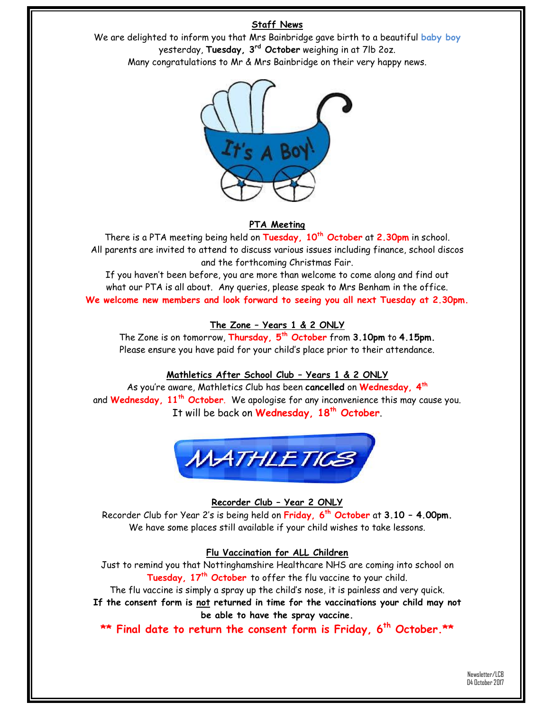## **Staff News**

We are delighted to inform you that Mrs Bainbridge gave birth to a beautiful **baby boy** yesterday, **Tuesday, 3rd October** weighing in at 7lb 2oz. Many congratulations to Mr & Mrs Bainbridge on their very happy news.



## **PTA Meeting**

There is a PTA meeting being held on **Tuesday, 10th October** at **2.30pm** in school. All parents are invited to attend to discuss various issues including finance, school discos and the forthcoming Christmas Fair.

If you haven't been before, you are more than welcome to come along and find out what our PTA is all about. Any queries, please speak to Mrs Benham in the office. **We welcome new members and look forward to seeing you all next Tuesday at 2.30pm.**

## **The Zone – Years 1 & 2 ONLY**

The Zone is on tomorrow, **Thursday, 5 th October** from **3.10pm** to **4.15pm.** Please ensure you have paid for your child's place prior to their attendance.

## **Mathletics After School Club – Years 1 & 2 ONLY**

As you're aware, Mathletics Club has been **cancelled** on **Wednesday, 4th** and **Wednesday, 11th October**. We apologise for any inconvenience this may cause you. It will be back on **Wednesday, 18th October**.



## **Recorder Club – Year 2 ONLY**

Recorder Club for Year 2's is being held on **Friday, 6 th October** at **3.10 – 4.00pm.** We have some places still available if your child wishes to take lessons.

## **Flu Vaccination for ALL Children**

Just to remind you that Nottinghamshire Healthcare NHS are coming into school on **Tuesday, 17 th October** to offer the flu vaccine to your child.

The flu vaccine is simply a spray up the child's nose, it is painless and very quick.

**If the consent form is not returned in time for the vaccinations your child may not be able to have the spray vaccine.**

**\*\* Final date to return the consent form is Friday, 6th October.\*\***